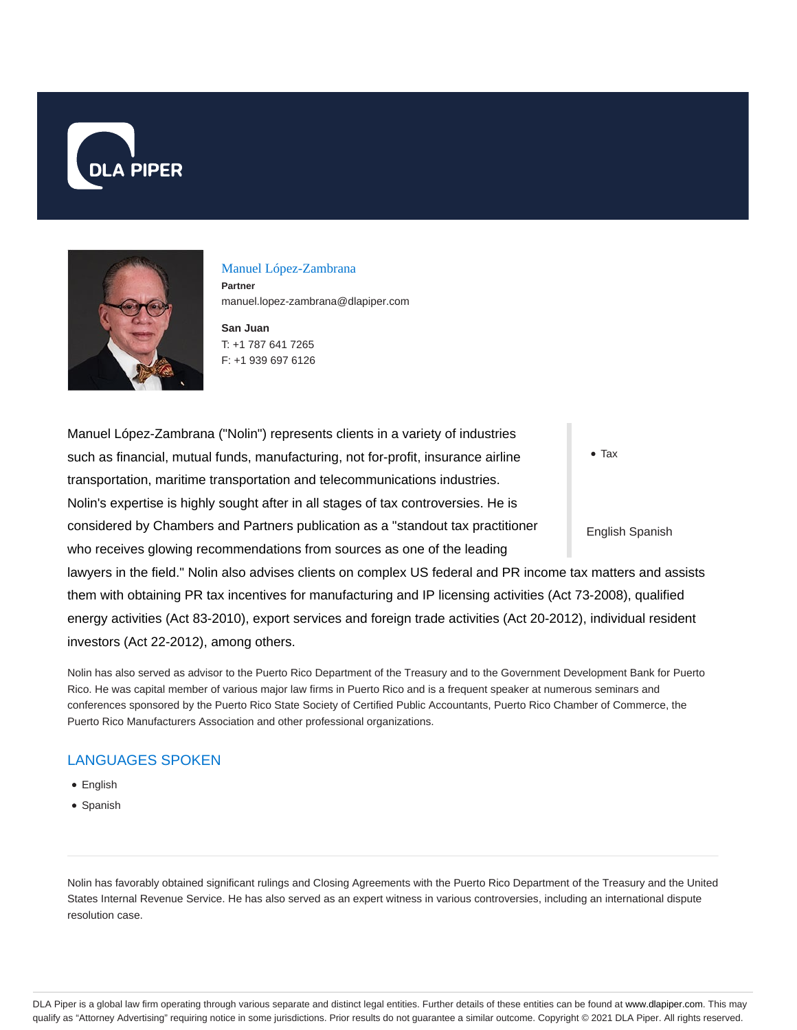



#### Manuel López-Zambrana

**Partner** manuel.lopez-zambrana@dlapiper.com

**San Juan** T: +1 787 641 7265 F: +1 939 697 6126

Tax Manuel López-Zambrana ("Nolin") represents clients in a variety of industries such as financial, mutual funds, manufacturing, not for-profit, insurance airline transportation, maritime transportation and telecommunications industries. Nolin's expertise is highly sought after in all stages of tax controversies. He is considered by Chambers and Partners publication as a "standout tax practitioner who receives glowing recommendations from sources as one of the leading lawyers in the field." Nolin also advises clients on complex US federal and PR income tax matters and assists them with obtaining PR tax incentives for manufacturing and IP licensing activities (Act 73-2008), qualified energy activities (Act 83-2010), export services and foreign trade activities (Act 20-2012), individual resident

investors (Act 22-2012), among others.

Nolin has also served as advisor to the Puerto Rico Department of the Treasury and to the Government Development Bank for Puerto Rico. He was capital member of various major law firms in Puerto Rico and is a frequent speaker at numerous seminars and conferences sponsored by the Puerto Rico State Society of Certified Public Accountants, Puerto Rico Chamber of Commerce, the Puerto Rico Manufacturers Association and other professional organizations.

## LANGUAGES SPOKEN

- English
- Spanish

Nolin has favorably obtained significant rulings and Closing Agreements with the Puerto Rico Department of the Treasury and the United States Internal Revenue Service. He has also served as an expert witness in various controversies, including an international dispute resolution case.

DLA Piper is a global law firm operating through various separate and distinct legal entities. Further details of these entities can be found at www.dlapiper.com. This may qualify as "Attorney Advertising" requiring notice in some jurisdictions. Prior results do not guarantee a similar outcome. Copyright © 2021 DLA Piper. All rights reserved.

English Spanish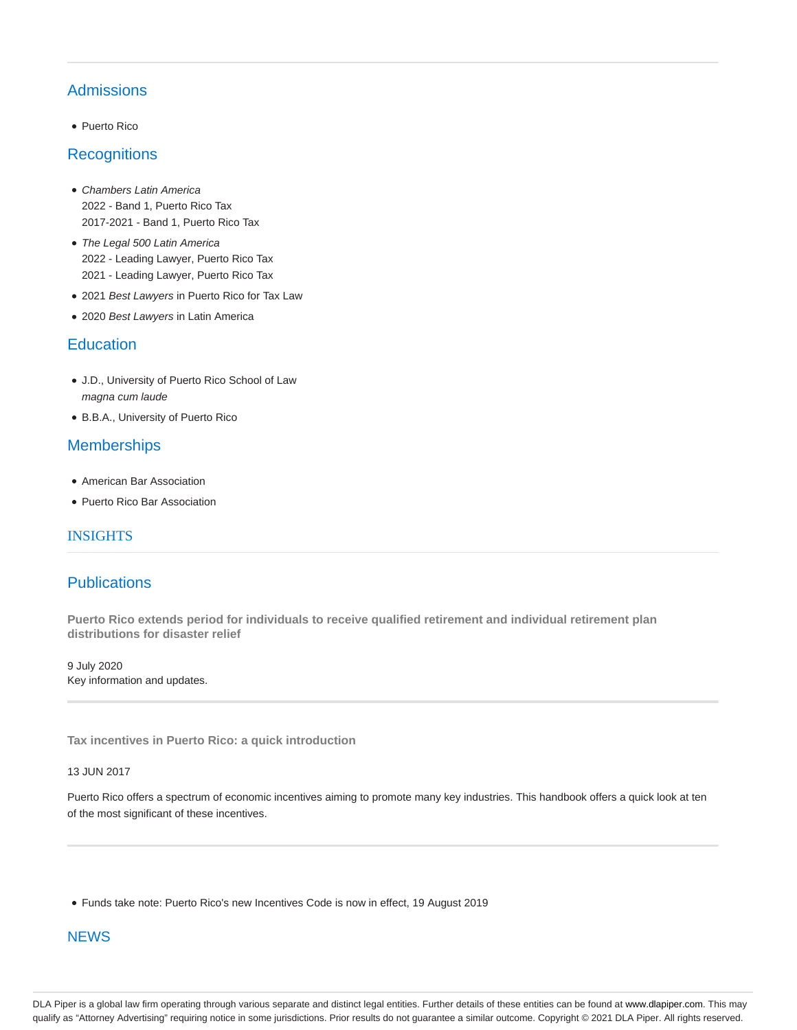# Admissions

• Puerto Rico

### **Recognitions**

- Chambers Latin America 2022 - Band 1, Puerto Rico Tax 2017-2021 - Band 1, Puerto Rico Tax
- The Legal 500 Latin America 2022 - Leading Lawyer, Puerto Rico Tax 2021 - Leading Lawyer, Puerto Rico Tax
- 2021 Best Lawyers in Puerto Rico for Tax Law
- 2020 Best Lawyers in Latin America

### **Education**

- J.D., University of Puerto Rico School of Law magna cum laude
- B.B.A., University of Puerto Rico

## **Memberships**

- American Bar Association
- Puerto Rico Bar Association

### INSIGHTS

### **Publications**

**Puerto Rico extends period for individuals to receive qualified retirement and individual retirement plan distributions for disaster relief**

9 July 2020 Key information and updates.

**Tax incentives in Puerto Rico: a quick introduction**

#### 13 JUN 2017

Puerto Rico offers a spectrum of economic incentives aiming to promote many key industries. This handbook offers a quick look at ten of the most significant of these incentives.

Funds take note: Puerto Rico's new Incentives Code is now in effect, 19 August 2019

### **NEWS**

DLA Piper is a global law firm operating through various separate and distinct legal entities. Further details of these entities can be found at www.dlapiper.com. This may qualify as "Attorney Advertising" requiring notice in some jurisdictions. Prior results do not guarantee a similar outcome. Copyright © 2021 DLA Piper. All rights reserved.